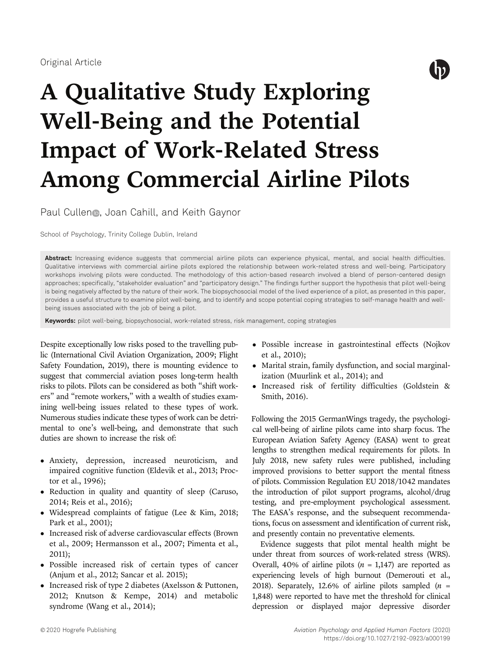

# A Qualitative Study Exploring Well-Being and the Potential Impact of Work-Related Stress Among Commercial Airline Pilots

Paul Cullen<sub>®</sub>, Joan Cahill, and Keith Gaynor

School of Psychology, Trinity College Dublin, Ireland

Abstract: Increasing evidence suggests that commercial airline pilots can experience physical, mental, and social health difficulties. Qualitative interviews with commercial airline pilots explored the relationship between work-related stress and well-being. Participatory workshops involving pilots were conducted. The methodology of this action-based research involved a blend of person-centered design approaches; specifically, "stakeholder evaluation" and "participatory design." The findings further support the hypothesis that pilot well-being is being negatively affected by the nature of their work. The biopsychosocial model of the lived experience of a pilot, as presented in this paper, provides a useful structure to examine pilot well-being, and to identify and scope potential coping strategies to self-manage health and wellbeing issues associated with the job of being a pilot.

Keywords: pilot well-being, biopsychosocial, work-related stress, risk management, coping strategies

Despite exceptionally low risks posed to the travelling public (International Civil Aviation Organization, 2009; Flight Safety Foundation, 2019), there is mounting evidence to suggest that commercial aviation poses long-term health risks to pilots. Pilots can be considered as both "shift workers" and "remote workers," with a wealth of studies examining well-being issues related to these types of work. Numerous studies indicate these types of work can be detrimental to one's well-being, and demonstrate that such duties are shown to increase the risk of:

- Anxiety, depression, increased neuroticism, and impaired cognitive function (Eldevik et al., 2013; Proctor et al., 1996);
- Reduction in quality and quantity of sleep (Caruso, 2014; Reis et al., 2016);
- Widespread complaints of fatigue (Lee & Kim, 2018; Park et al., 2001);
- Increased risk of adverse cardiovascular effects (Brown et al., 2009; Hermansson et al., 2007; Pimenta et al., 2011);
- Possible increased risk of certain types of cancer (Anjum et al., 2012; Sancar et al. 2015);
- Increased risk of type 2 diabetes (Axelsson & Puttonen, 2012; Knutson & Kempe, 2014) and metabolic syndrome (Wang et al., 2014);
- Possible increase in gastrointestinal effects (Nojkov et al., 2010);
- Marital strain, family dysfunction, and social marginalization (Muurlink et al., 2014); and
- Increased risk of fertility difficulties (Goldstein & Smith, 2016).

Following the 2015 GermanWings tragedy, the psychological well-being of airline pilots came into sharp focus. The European Aviation Safety Agency (EASA) went to great lengths to strengthen medical requirements for pilots. In July 2018, new safety rules were published, including improved provisions to better support the mental fitness of pilots. Commission Regulation EU 2018/1042 mandates the introduction of pilot support programs, alcohol/drug testing, and pre-employment psychological assessment. The EASA's response, and the subsequent recommendations, focus on assessment and identification of current risk, and presently contain no preventative elements.

Evidence suggests that pilot mental health might be under threat from sources of work-related stress (WRS). Overall, 40% of airline pilots  $(n = 1,147)$  are reported as experiencing levels of high burnout (Demerouti et al., 2018). Separately, 12.6% of airline pilots sampled  $(n =$ 1,848) were reported to have met the threshold for clinical depression or displayed major depressive disorder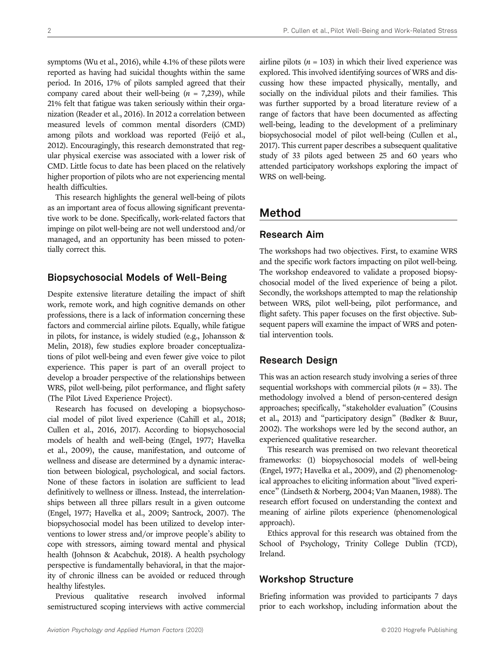symptoms (Wu et al., 2016), while 4.1% of these pilots were reported as having had suicidal thoughts within the same period. In 2016, 17% of pilots sampled agreed that their company cared about their well-being  $(n = 7,239)$ , while 21% felt that fatigue was taken seriously within their organization (Reader et al., 2016). In 2012 a correlation between measured levels of common mental disorders (CMD) among pilots and workload was reported (Feijó et al., 2012). Encouragingly, this research demonstrated that regular physical exercise was associated with a lower risk of CMD. Little focus to date has been placed on the relatively higher proportion of pilots who are not experiencing mental health difficulties.

This research highlights the general well-being of pilots as an important area of focus allowing significant preventative work to be done. Specifically, work-related factors that impinge on pilot well-being are not well understood and/or managed, and an opportunity has been missed to potentially correct this.

## Biopsychosocial Models of Well-Being

Despite extensive literature detailing the impact of shift work, remote work, and high cognitive demands on other professions, there is a lack of information concerning these factors and commercial airline pilots. Equally, while fatigue in pilots, for instance, is widely studied (e.g., Johansson & Melin, 2018), few studies explore broader conceptualizations of pilot well-being and even fewer give voice to pilot experience. This paper is part of an overall project to develop a broader perspective of the relationships between WRS, pilot well-being, pilot performance, and flight safety (The Pilot Lived Experience Project).

Research has focused on developing a biopsychosocial model of pilot lived experience (Cahill et al., 2018; Cullen et al., 2016, 2017). According to biopsychosocial models of health and well-being (Engel, 1977; Havelka et al., 2009), the cause, manifestation, and outcome of wellness and disease are determined by a dynamic interaction between biological, psychological, and social factors. None of these factors in isolation are sufficient to lead definitively to wellness or illness. Instead, the interrelationships between all three pillars result in a given outcome (Engel, 1977; Havelka et al., 2009; Santrock, 2007). The biopsychosocial model has been utilized to develop interventions to lower stress and/or improve people's ability to cope with stressors, aiming toward mental and physical health (Johnson & Acabchuk, 2018). A health psychology perspective is fundamentally behavioral, in that the majority of chronic illness can be avoided or reduced through healthy lifestyles.

Previous qualitative research involved informal semistructured scoping interviews with active commercial airline pilots ( $n = 103$ ) in which their lived experience was explored. This involved identifying sources of WRS and discussing how these impacted physically, mentally, and socially on the individual pilots and their families. This was further supported by a broad literature review of a range of factors that have been documented as affecting well-being, leading to the development of a preliminary biopsychosocial model of pilot well-being (Cullen et al., 2017). This current paper describes a subsequent qualitative study of 33 pilots aged between 25 and 60 years who attended participatory workshops exploring the impact of WRS on well-being.

# Method

## Research Aim

The workshops had two objectives. First, to examine WRS and the specific work factors impacting on pilot well-being. The workshop endeavored to validate a proposed biopsychosocial model of the lived experience of being a pilot. Secondly, the workshops attempted to map the relationship between WRS, pilot well-being, pilot performance, and flight safety. This paper focuses on the first objective. Subsequent papers will examine the impact of WRS and potential intervention tools.

## Research Design

This was an action research study involving a series of three sequential workshops with commercial pilots ( $n = 33$ ). The methodology involved a blend of person-centered design approaches; specifically, "stakeholder evaluation" (Cousins et al., 2013) and "participatory design" (Bødker & Buur, 2002). The workshops were led by the second author, an experienced qualitative researcher.

This research was premised on two relevant theoretical frameworks: (1) biopsychosocial models of well-being (Engel, 1977; Havelka et al., 2009), and (2) phenomenological approaches to eliciting information about "lived experience" (Lindseth & Norberg, 2004; Van Maanen, 1988). The research effort focused on understanding the context and meaning of airline pilots experience (phenomenological approach).

Ethics approval for this research was obtained from the School of Psychology, Trinity College Dublin (TCD), Ireland.

## Workshop Structure

Briefing information was provided to participants 7 days prior to each workshop, including information about the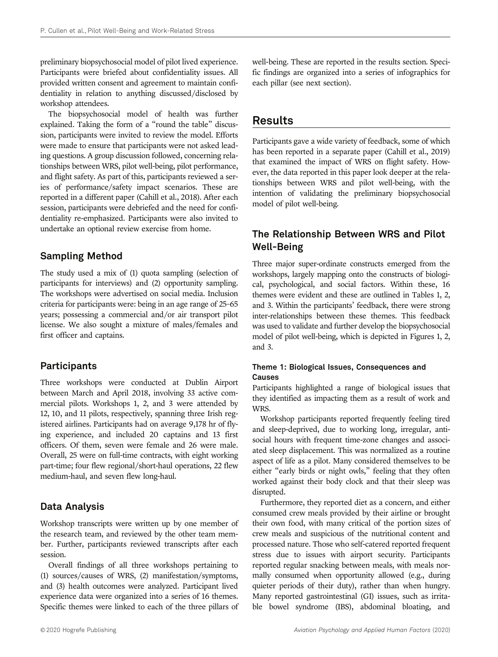preliminary biopsychosocial model of pilot lived experience. Participants were briefed about confidentiality issues. All provided written consent and agreement to maintain confidentiality in relation to anything discussed/disclosed by workshop attendees.

The biopsychosocial model of health was further explained. Taking the form of a "round the table" discussion, participants were invited to review the model. Efforts were made to ensure that participants were not asked leading questions. A group discussion followed, concerning relationships between WRS, pilot well-being, pilot performance, and flight safety. As part of this, participants reviewed a series of performance/safety impact scenarios. These are reported in a different paper (Cahill et al., 2018). After each session, participants were debriefed and the need for confidentiality re-emphasized. Participants were also invited to undertake an optional review exercise from home.

# Sampling Method

The study used a mix of (1) quota sampling (selection of participants for interviews) and (2) opportunity sampling. The workshops were advertised on social media. Inclusion criteria for participants were: being in an age range of 25–65 years; possessing a commercial and/or air transport pilot license. We also sought a mixture of males/females and first officer and captains.

## Participants

Three workshops were conducted at Dublin Airport between March and April 2018, involving 33 active commercial pilots. Workshops 1, 2, and 3 were attended by 12, 10, and 11 pilots, respectively, spanning three Irish registered airlines. Participants had on average 9,178 hr of flying experience, and included 20 captains and 13 first officers. Of them, seven were female and 26 were male. Overall, 25 were on full-time contracts, with eight working part-time; four flew regional/short-haul operations, 22 flew medium-haul, and seven flew long-haul.

# Data Analysis

Workshop transcripts were written up by one member of the research team, and reviewed by the other team member. Further, participants reviewed transcripts after each session.

Overall findings of all three workshops pertaining to (1) sources/causes of WRS, (2) manifestation/symptoms, and (3) health outcomes were analyzed. Participant lived experience data were organized into a series of 16 themes. Specific themes were linked to each of the three pillars of well-being. These are reported in the results section. Specific findings are organized into a series of infographics for each pillar (see next section).

# Results

Participants gave a wide variety of feedback, some of which has been reported in a separate paper (Cahill et al., 2019) that examined the impact of WRS on flight safety. However, the data reported in this paper look deeper at the relationships between WRS and pilot well-being, with the intention of validating the preliminary biopsychosocial model of pilot well-being.

# The Relationship Between WRS and Pilot Well-Being

Three major super-ordinate constructs emerged from the workshops, largely mapping onto the constructs of biological, psychological, and social factors. Within these, 16 themes were evident and these are outlined in Tables 1, 2, and 3. Within the participants' feedback, there were strong inter-relationships between these themes. This feedback was used to validate and further develop the biopsychosocial model of pilot well-being, which is depicted in Figures 1, 2, and 3.

## Theme 1: Biological Issues, Consequences and Causes

Participants highlighted a range of biological issues that they identified as impacting them as a result of work and WRS.

Workshop participants reported frequently feeling tired and sleep-deprived, due to working long, irregular, antisocial hours with frequent time-zone changes and associated sleep displacement. This was normalized as a routine aspect of life as a pilot. Many considered themselves to be either "early birds or night owls," feeling that they often worked against their body clock and that their sleep was disrupted.

Furthermore, they reported diet as a concern, and either consumed crew meals provided by their airline or brought their own food, with many critical of the portion sizes of crew meals and suspicious of the nutritional content and processed nature. Those who self-catered reported frequent stress due to issues with airport security. Participants reported regular snacking between meals, with meals normally consumed when opportunity allowed (e.g., during quieter periods of their duty), rather than when hungry. Many reported gastrointestinal (GI) issues, such as irritable bowel syndrome (IBS), abdominal bloating, and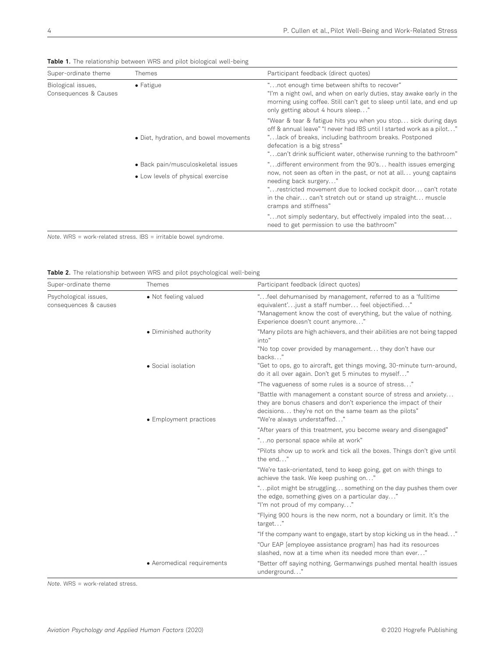| <b>Table 1.</b> The relationship between Wito and plict plotogreat welt-beling |                                        |                                                                                                                                                                                                                                                                                                      |  |  |  |
|--------------------------------------------------------------------------------|----------------------------------------|------------------------------------------------------------------------------------------------------------------------------------------------------------------------------------------------------------------------------------------------------------------------------------------------------|--|--|--|
| Super-ordinate theme                                                           | <b>Themes</b>                          | Participant feedback (direct quotes)                                                                                                                                                                                                                                                                 |  |  |  |
| Biological issues,<br>Consequences & Causes                                    | $\bullet$ Fatigue                      | " not enough time between shifts to recover"<br>"I'm a night owl, and when on early duties, stay awake early in the<br>morning using coffee. Still can't get to sleep until late, and end up<br>only getting about 4 hours sleep"                                                                    |  |  |  |
|                                                                                | • Diet, hydration, and bowel movements | "Wear & tear & fatigue hits you when you stop sick during days<br>off & annual leave" "I never had IBS until I started work as a pilot"<br>"lack of breaks, including bathroom breaks. Postponed<br>defecation is a big stress"<br>"can't drink sufficient water, otherwise running to the bathroom" |  |  |  |
|                                                                                | • Back pain/musculoskeletal issues     | "different environment from the 90's health issues emerging                                                                                                                                                                                                                                          |  |  |  |
|                                                                                | • Low levels of physical exercise      | now, not seen as often in the past, or not at all young captains<br>needing back surgery"<br>" restricted movement due to locked cockpit door can't rotate<br>in the chair can't stretch out or stand up straight muscle<br>cramps and stiffness"                                                    |  |  |  |
|                                                                                |                                        | "not simply sedentary, but effectively impaled into the seat<br>need to get permission to use the bathroom"                                                                                                                                                                                          |  |  |  |

Table 1. The relationship between WRS and pilot biological well-being

Note. WRS = work-related stress. IBS = irritable bowel syndrome.

Table 2. The relationship between WRS and pilot psychological well-being

| Super-ordinate theme                           | Themes                     | Participant feedback (direct quotes)                                                                                                                                                                                        |  |  |  |
|------------------------------------------------|----------------------------|-----------------------------------------------------------------------------------------------------------------------------------------------------------------------------------------------------------------------------|--|--|--|
| Psychological issues,<br>consequences & causes | • Not feeling valued       | "feel dehumanised by management, referred to as a 'fulltime'<br>equivalent'just a staff number feel objectified"<br>"Management know the cost of everything, but the value of nothing.<br>Experience doesn't count anymore" |  |  |  |
|                                                | • Diminished authority     | "Many pilots are high achievers, and their abilities are not being tapped<br>into"<br>"No top cover provided by management they don't have our                                                                              |  |  |  |
|                                                | • Social isolation         | backs"<br>"Get to ops, go to aircraft, get things moving, 30-minute turn-around,<br>do it all over again. Don't get 5 minutes to myself"                                                                                    |  |  |  |
|                                                |                            | "The vagueness of some rules is a source of stress"                                                                                                                                                                         |  |  |  |
|                                                | • Employment practices     | "Battle with management a constant source of stress and anxiety<br>they are bonus chasers and don't experience the impact of their<br>decisions they're not on the same team as the pilots"<br>"We're always understaffed"  |  |  |  |
|                                                |                            | "After years of this treatment, you become weary and disengaged"                                                                                                                                                            |  |  |  |
|                                                |                            | "no personal space while at work"                                                                                                                                                                                           |  |  |  |
|                                                |                            | "Pilots show up to work and tick all the boxes. Things don't give until<br>the end"                                                                                                                                         |  |  |  |
|                                                |                            | "We're task-orientated, tend to keep going, get on with things to<br>achieve the task. We keep pushing on"                                                                                                                  |  |  |  |
|                                                |                            | " pilot might be struggling something on the day pushes them over<br>the edge, something gives on a particular day"<br>"I'm not proud of my company"                                                                        |  |  |  |
|                                                |                            | "Flying 900 hours is the new norm, not a boundary or limit. It's the<br>target"                                                                                                                                             |  |  |  |
|                                                |                            | "If the company want to engage, start by stop kicking us in the head"                                                                                                                                                       |  |  |  |
|                                                |                            | "Our EAP [employee assistance program] has had its resources<br>slashed, now at a time when its needed more than ever"                                                                                                      |  |  |  |
|                                                | • Aeromedical requirements | "Better off saying nothing. Germanwings pushed mental health issues<br>underground"                                                                                                                                         |  |  |  |

Note. WRS = work-related stress.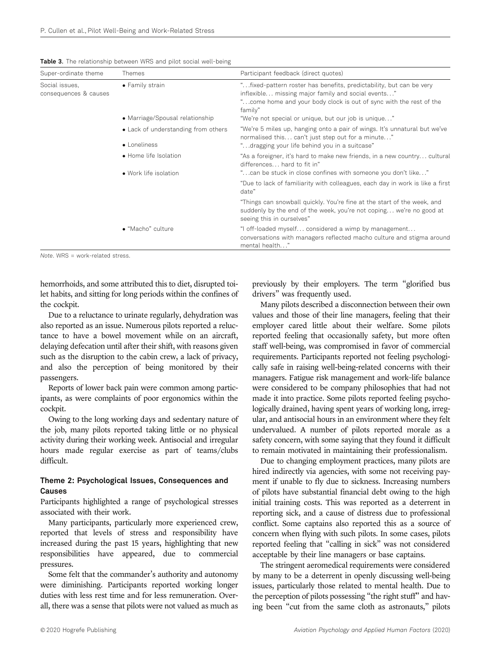|  |  | Table 3. The relationship between WRS and pilot social well-being |  |  |  |  |  |  |
|--|--|-------------------------------------------------------------------|--|--|--|--|--|--|
|--|--|-------------------------------------------------------------------|--|--|--|--|--|--|

| Super-ordinate theme                    | Themes                                              | Participant feedback (direct quotes)                                                                                                                                                                                                                               |  |  |  |  |
|-----------------------------------------|-----------------------------------------------------|--------------------------------------------------------------------------------------------------------------------------------------------------------------------------------------------------------------------------------------------------------------------|--|--|--|--|
| Social issues,<br>consequences & causes | • Family strain<br>• Marriage/Spousal relationship  | "fixed-pattern roster has benefits, predictability, but can be very<br>inflexible missing major family and social events"<br>"come home and your body clock is out of sync with the rest of the<br>family"<br>"We're not special or unique, but our job is unique" |  |  |  |  |
|                                         | • Lack of understanding from others<br>• Loneliness | "We're 5 miles up, hanging onto a pair of wings. It's unnatural but we've<br>normalised this can't just step out for a minute"<br>"dragging your life behind you in a suitcase"                                                                                    |  |  |  |  |
|                                         | • Home life Isolation<br>• Work life isolation      | "As a foreigner, it's hard to make new friends, in a new country cultural<br>differences hard to fit in"<br>"can be stuck in close confines with someone you don't like"                                                                                           |  |  |  |  |
|                                         |                                                     | "Due to lack of familiarity with colleagues, each day in work is like a first<br>date"                                                                                                                                                                             |  |  |  |  |
|                                         |                                                     | "Things can snowball quickly. You're fine at the start of the week, and<br>suddenly by the end of the week, you're not coping we're no good at<br>seeing this in ourselves"                                                                                        |  |  |  |  |
|                                         | • "Macho" culture                                   | "I off-loaded myself considered a wimp by management<br>conversations with managers reflected macho culture and stigma around<br>mental health"                                                                                                                    |  |  |  |  |

Note. WRS = work-related stress.

hemorrhoids, and some attributed this to diet, disrupted toilet habits, and sitting for long periods within the confines of the cockpit.

Due to a reluctance to urinate regularly, dehydration was also reported as an issue. Numerous pilots reported a reluctance to have a bowel movement while on an aircraft, delaying defecation until after their shift, with reasons given such as the disruption to the cabin crew, a lack of privacy, and also the perception of being monitored by their passengers.

Reports of lower back pain were common among participants, as were complaints of poor ergonomics within the cockpit.

Owing to the long working days and sedentary nature of the job, many pilots reported taking little or no physical activity during their working week. Antisocial and irregular hours made regular exercise as part of teams/clubs difficult.

#### Theme 2: Psychological Issues, Consequences and Causes

Participants highlighted a range of psychological stresses associated with their work.

Many participants, particularly more experienced crew, reported that levels of stress and responsibility have increased during the past 15 years, highlighting that new responsibilities have appeared, due to commercial pressures.

Some felt that the commander's authority and autonomy were diminishing. Participants reported working longer duties with less rest time and for less remuneration. Overall, there was a sense that pilots were not valued as much as

previously by their employers. The term "glorified bus drivers" was frequently used.

Many pilots described a disconnection between their own values and those of their line managers, feeling that their employer cared little about their welfare. Some pilots reported feeling that occasionally safety, but more often staff well-being, was compromised in favor of commercial requirements. Participants reported not feeling psychologically safe in raising well-being-related concerns with their managers. Fatigue risk management and work–life balance were considered to be company philosophies that had not made it into practice. Some pilots reported feeling psychologically drained, having spent years of working long, irregular, and antisocial hours in an environment where they felt undervalued. A number of pilots reported morale as a safety concern, with some saying that they found it difficult to remain motivated in maintaining their professionalism.

Due to changing employment practices, many pilots are hired indirectly via agencies, with some not receiving payment if unable to fly due to sickness. Increasing numbers of pilots have substantial financial debt owing to the high initial training costs. This was reported as a deterrent in reporting sick, and a cause of distress due to professional conflict. Some captains also reported this as a source of concern when flying with such pilots. In some cases, pilots reported feeling that "calling in sick" was not considered acceptable by their line managers or base captains.

The stringent aeromedical requirements were considered by many to be a deterrent in openly discussing well-being issues, particularly those related to mental health. Due to the perception of pilots possessing "the right stuff" and having been "cut from the same cloth as astronauts," pilots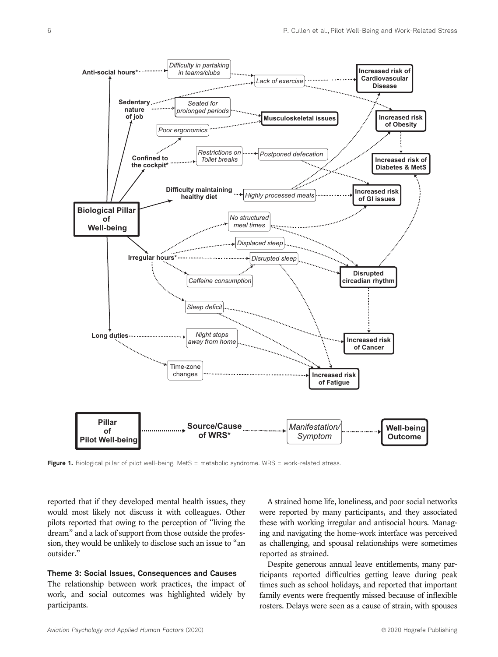

Figure 1. Biological pillar of pilot well-being. MetS = metabolic syndrome. WRS = work-related stress.

reported that if they developed mental health issues, they would most likely not discuss it with colleagues. Other pilots reported that owing to the perception of "living the dream" and a lack of support from those outside the profession, they would be unlikely to disclose such an issue to "an outsider."

#### Theme 3: Social Issues, Consequences and Causes

The relationship between work practices, the impact of work, and social outcomes was highlighted widely by participants.

A strained home life, loneliness, and poor social networks were reported by many participants, and they associated these with working irregular and antisocial hours. Managing and navigating the home–work interface was perceived as challenging, and spousal relationships were sometimes reported as strained.

Despite generous annual leave entitlements, many participants reported difficulties getting leave during peak times such as school holidays, and reported that important family events were frequently missed because of inflexible rosters. Delays were seen as a cause of strain, with spouses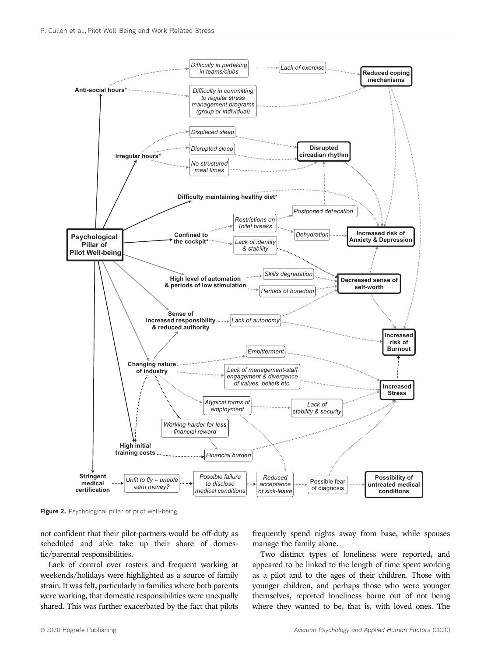

Figure 2. Psychological pillar of pilot well-being.

not confident that their pilot-partners would be off-duty as scheduled and able take up their share of domestic/parental responsibilities.

Lack of control over rosters and frequent working at weekends/holidays were highlighted as a source of family strain. It was felt, particularly in families where both parents were working, that domestic responsibilities were unequally shared. This was further exacerbated by the fact that pilots

frequently spend nights away from base, while spouses manage the family alone.

Two distinct types of loneliness were reported, and appeared to be linked to the length of time spent working as a pilot and to the ages of their children. Those with younger children, and perhaps those who were younger themselves, reported loneliness borne out of not being where they wanted to be, that is, with loved ones. The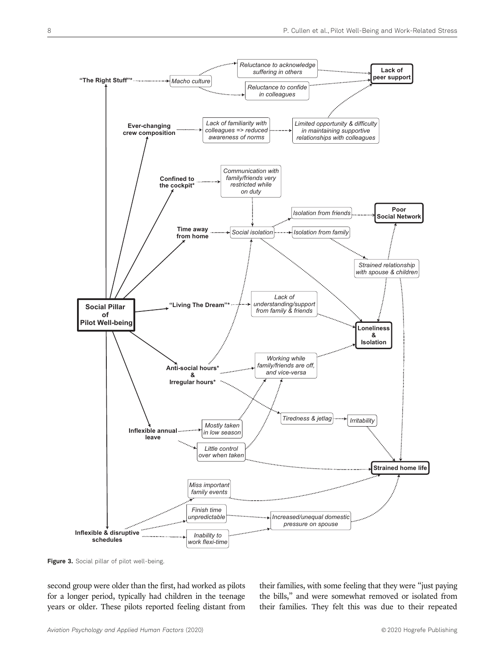

Figure 3. Social pillar of pilot well-being.

second group were older than the first, had worked as pilots for a longer period, typically had children in the teenage years or older. These pilots reported feeling distant from their families, with some feeling that they were "just paying the bills," and were somewhat removed or isolated from their families. They felt this was due to their repeated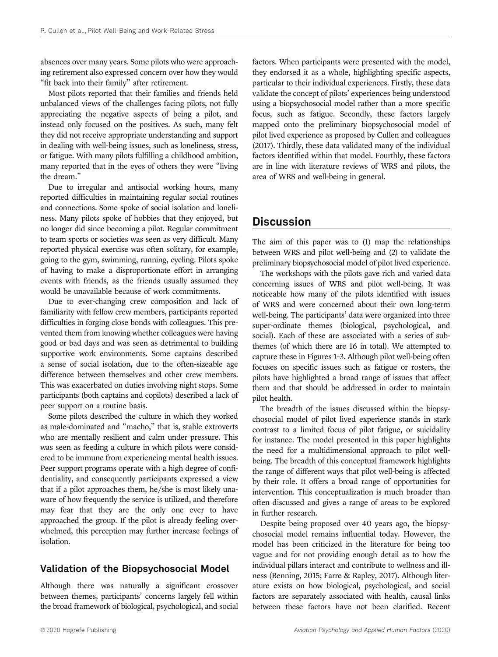absences over many years. Some pilots who were approaching retirement also expressed concern over how they would "fit back into their family" after retirement.

Most pilots reported that their families and friends held unbalanced views of the challenges facing pilots, not fully appreciating the negative aspects of being a pilot, and instead only focused on the positives. As such, many felt they did not receive appropriate understanding and support in dealing with well-being issues, such as loneliness, stress, or fatigue. With many pilots fulfilling a childhood ambition, many reported that in the eyes of others they were "living the dream."

Due to irregular and antisocial working hours, many reported difficulties in maintaining regular social routines and connections. Some spoke of social isolation and loneliness. Many pilots spoke of hobbies that they enjoyed, but no longer did since becoming a pilot. Regular commitment to team sports or societies was seen as very difficult. Many reported physical exercise was often solitary, for example, going to the gym, swimming, running, cycling. Pilots spoke of having to make a disproportionate effort in arranging events with friends, as the friends usually assumed they would be unavailable because of work commitments.

Due to ever-changing crew composition and lack of familiarity with fellow crew members, participants reported difficulties in forging close bonds with colleagues. This prevented them from knowing whether colleagues were having good or bad days and was seen as detrimental to building supportive work environments. Some captains described a sense of social isolation, due to the often-sizeable age difference between themselves and other crew members. This was exacerbated on duties involving night stops. Some participants (both captains and copilots) described a lack of peer support on a routine basis.

Some pilots described the culture in which they worked as male-dominated and "macho," that is, stable extroverts who are mentally resilient and calm under pressure. This was seen as feeding a culture in which pilots were considered to be immune from experiencing mental health issues. Peer support programs operate with a high degree of confidentiality, and consequently participants expressed a view that if a pilot approaches them, he/she is most likely unaware of how frequently the service is utilized, and therefore may fear that they are the only one ever to have approached the group. If the pilot is already feeling overwhelmed, this perception may further increase feelings of isolation.

## Validation of the Biopsychosocial Model

Although there was naturally a significant crossover between themes, participants' concerns largely fell within the broad framework of biological, psychological, and social factors. When participants were presented with the model, they endorsed it as a whole, highlighting specific aspects, particular to their individual experiences. Firstly, these data validate the concept of pilots' experiences being understood using a biopsychosocial model rather than a more specific focus, such as fatigue. Secondly, these factors largely mapped onto the preliminary biopsychosocial model of pilot lived experience as proposed by Cullen and colleagues (2017). Thirdly, these data validated many of the individual factors identified within that model. Fourthly, these factors are in line with literature reviews of WRS and pilots, the area of WRS and well-being in general.

# Discussion

The aim of this paper was to (1) map the relationships between WRS and pilot well-being and (2) to validate the preliminary biopsychosocial model of pilot lived experience.

The workshops with the pilots gave rich and varied data concerning issues of WRS and pilot well-being. It was noticeable how many of the pilots identified with issues of WRS and were concerned about their own long-term well-being. The participants' data were organized into three super-ordinate themes (biological, psychological, and social). Each of these are associated with a series of subthemes (of which there are 16 in total). We attempted to capture these in Figures 1–3. Although pilot well-being often focuses on specific issues such as fatigue or rosters, the pilots have highlighted a broad range of issues that affect them and that should be addressed in order to maintain pilot health.

The breadth of the issues discussed within the biopsychosocial model of pilot lived experience stands in stark contrast to a limited focus of pilot fatigue, or suicidality for instance. The model presented in this paper highlights the need for a multidimensional approach to pilot wellbeing. The breadth of this conceptual framework highlights the range of different ways that pilot well-being is affected by their role. It offers a broad range of opportunities for intervention. This conceptualization is much broader than often discussed and gives a range of areas to be explored in further research.

Despite being proposed over 40 years ago, the biopsychosocial model remains influential today. However, the model has been criticized in the literature for being too vague and for not providing enough detail as to how the individual pillars interact and contribute to wellness and illness (Benning, 2015; Farre & Rapley, 2017). Although literature exists on how biological, psychological, and social factors are separately associated with health, causal links between these factors have not been clarified. Recent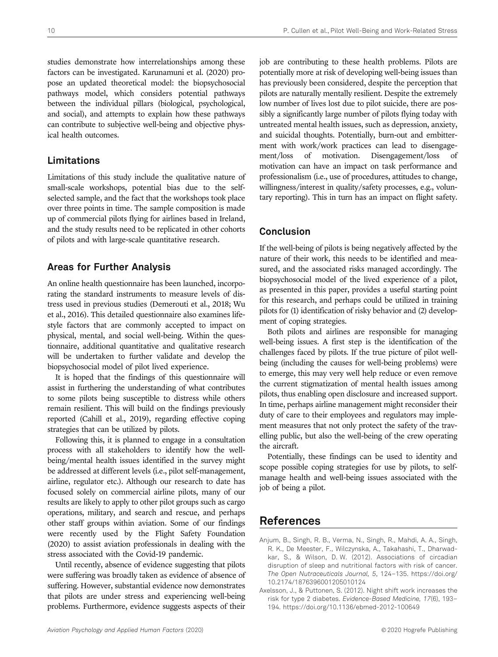studies demonstrate how interrelationships among these factors can be investigated. Karunamuni et al. (2020) propose an updated theoretical model: the biopsychosocial pathways model, which considers potential pathways between the individual pillars (biological, psychological, and social), and attempts to explain how these pathways can contribute to subjective well-being and objective physical health outcomes.

# Limitations

Limitations of this study include the qualitative nature of small-scale workshops, potential bias due to the selfselected sample, and the fact that the workshops took place over three points in time. The sample composition is made up of commercial pilots flying for airlines based in Ireland, and the study results need to be replicated in other cohorts of pilots and with large-scale quantitative research.

# Areas for Further Analysis

An online health questionnaire has been launched, incorporating the standard instruments to measure levels of distress used in previous studies (Demerouti et al., 2018; Wu et al., 2016). This detailed questionnaire also examines lifestyle factors that are commonly accepted to impact on physical, mental, and social well-being. Within the questionnaire, additional quantitative and qualitative research will be undertaken to further validate and develop the biopsychosocial model of pilot lived experience.

It is hoped that the findings of this questionnaire will assist in furthering the understanding of what contributes to some pilots being susceptible to distress while others remain resilient. This will build on the findings previously reported (Cahill et al., 2019), regarding effective coping strategies that can be utilized by pilots.

Following this, it is planned to engage in a consultation process with all stakeholders to identify how the wellbeing/mental health issues identified in the survey might be addressed at different levels (i.e., pilot self-management, airline, regulator etc.). Although our research to date has focused solely on commercial airline pilots, many of our results are likely to apply to other pilot groups such as cargo operations, military, and search and rescue, and perhaps other staff groups within aviation. Some of our findings were recently used by the Flight Safety Foundation (2020) to assist aviation professionals in dealing with the stress associated with the Covid-19 pandemic.

Until recently, absence of evidence suggesting that pilots were suffering was broadly taken as evidence of absence of suffering. However, substantial evidence now demonstrates that pilots are under stress and experiencing well-being problems. Furthermore, evidence suggests aspects of their

job are contributing to these health problems. Pilots are potentially more at risk of developing well-being issues than has previously been considered, despite the perception that pilots are naturally mentally resilient. Despite the extremely low number of lives lost due to pilot suicide, there are possibly a significantly large number of pilots flying today with untreated mental health issues, such as depression, anxiety, and suicidal thoughts. Potentially, burn-out and embitterment with work/work practices can lead to disengagement/loss of motivation. Disengagement/loss of motivation can have an impact on task performance and professionalism (i.e., use of procedures, attitudes to change, willingness/interest in quality/safety processes, e.g., voluntary reporting). This in turn has an impact on flight safety.

# Conclusion

If the well-being of pilots is being negatively affected by the nature of their work, this needs to be identified and measured, and the associated risks managed accordingly. The biopsychosocial model of the lived experience of a pilot, as presented in this paper, provides a useful starting point for this research, and perhaps could be utilized in training pilots for (1) identification of risky behavior and (2) development of coping strategies.

Both pilots and airlines are responsible for managing well-being issues. A first step is the identification of the challenges faced by pilots. If the true picture of pilot wellbeing (including the causes for well-being problems) were to emerge, this may very well help reduce or even remove the current stigmatization of mental health issues among pilots, thus enabling open disclosure and increased support. In time, perhaps airline management might reconsider their duty of care to their employees and regulators may implement measures that not only protect the safety of the travelling public, but also the well-being of the crew operating the aircraft.

Potentially, these findings can be used to identity and scope possible coping strategies for use by pilots, to selfmanage health and well-being issues associated with the job of being a pilot.

# References

- Anjum, B., Singh, R. B., Verma, N., Singh, R., Mahdi, A. A., Singh, R. K., De Meester, F., Wilczynska, A., Takahashi, T., Dharwadkar, S., & Wilson, D. W. (2012). Associations of circadian disruption of sleep and nutritional factors with risk of cancer. The Open Nutraceuticals Journal, 5, 124–135. https://doi.org/ 10.2174/1876396001205010124
- Axelsson, J., & Puttonen, S. (2012). Night shift work increases the risk for type 2 diabetes. Evidence-Based Medicine, 17(6), 193– 194. https://doi.org/10.1136/ebmed-2012-100649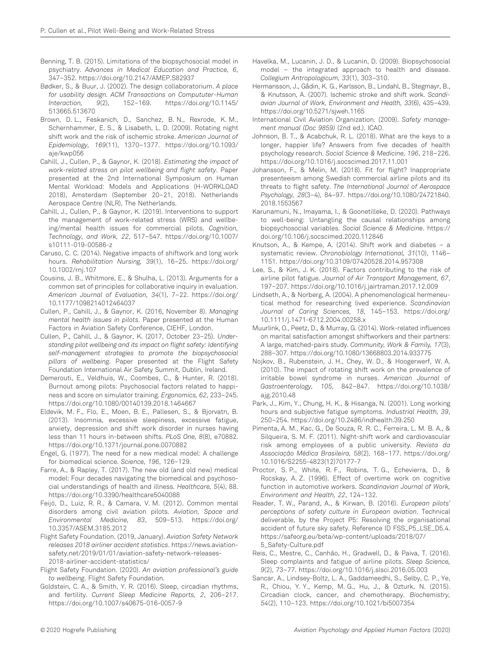- Benning, T. B. (2015). Limitations of the biopsychosocial model in psychiatry. Advances in Medical Education and Practice, 6, 347–352. https://doi.org/10.2147/AMEP.S82937
- Bødker, S., & Buur, J. (2002). The design collaboratorium. A place for usability design. ACM Transactions on Compututer-Human<br>Interaction, 9(2), 152-169. https://doi.org/10.1145/ https://doi.org/10.1145/ 513665.513670
- Brown, D. L., Feskanich, D., Sanchez, B. N., Rexrode, K. M., Schernhammer, E. S., & Lisabeth, L. D. (2009). Rotating night shift work and the risk of ischemic stroke. American Journal of Epidemiology, 169(11), 1370–1377. https://doi.org/10.1093/ aje/kwp056
- Cahill, J., Cullen, P., & Gaynor, K. (2018). Estimating the impact of work-related stress on pilot wellbeing and flight safety. Paper presented at the 2nd International Symposium on Human Mental Workload: Models and Applications (H-WORKLOAD 2018), Amsterdam (September 20–21, 2018). Netherlands Aerospace Centre (NLR), The Netherlands.
- Cahill, J., Cullen, P., & Gaynor, K. (2019). Interventions to support the management of work-related stress (WRS) and wellbeing/mental health issues for commercial pilots. Cognition, Technology, and Work, 22, 517–547. https://doi.org/10.1007/ s10111-019-00586-z
- Caruso, C. C. (2014). Negative impacts of shiftwork and long work hours. Rehabilitation Nursing, 39(1), 16–25. https://doi.org/ 10.1002/rnj.107
- Cousins, J. B., Whitmore, E., & Shulha, L. (2013). Arguments for a common set of principles for collaborative inquiry in evaluation. American Journal of Evaluation, 34(1), 7–22. https://doi.org/ 10.1177/1098214012464037
- Cullen, P., Cahill, J., & Gaynor, K. (2016, November 8). Managing mental health issues in pilots. Paper presented at the Human Factors in Aviation Safety Conference, CIEHF, London.
- Cullen, P., Cahill, J., & Gaynor, K. (2017, October 23–25). Understanding pilot wellbeing and its impact on flight safety: Identifying self-management strategies to promote the biopsychosocial pillars of wellbeing. Paper presented at the Flight Safety Foundation International Air Safety Summit, Dublin, Ireland.
- Demerouti, E., Veldhuis, W., Coombes, C., & Hunter, R. (2018). Burnout among pilots: Psychosocial factors related to happiness and score on simulator training. Ergonomics, 62, 233–245. https://doi.org/10.1080/00140139.2018.1464667
- Eldevik, M. F., Flo, E., Moen, B. E., Pallesen, S., & Bjorvatn, B. (2013). Insomnia, excessive sleepiness, excessive fatigue, anxiety, depression and shift work disorder in nurses having less than 11 hours in-between shifts. PLoS One, 8(8), e70882. https://doi.org/10.1371/journal.pone.0070882
- Engel, G. (1977). The need for a new medical model: A challenge for biomedical science. Science, 196, 126–129.
- Farre, A., & Rapley, T. (2017). The new old (and old new) medical model: Four decades navigating the biomedical and psychosocial understandings of health and illness. Healthcare, 5(4), 88. https://doi.org/10.3390/healthcare5040088
- Feijó, D., Luiz, R. R., & Camara, V. M. (2012). Common mental disorders among civil aviation pilots. Aviation, Space and Environmental Medicine, 83, 509–513. https://doi.org/ 10.3357/ASEM.3185.2012
- Flight Safety Foundation. (2019, January). Aviation Safety Network releases 2018 airliner accident statistics. https://news.aviationsafety.net/2019/01/01/aviation-safety-network-releases-2018-airliner-accident-statistics/
- Flight Safety Foundation. (2020). An aviation professional's guide to wellbeing. Flight Safety Foundation.
- Goldstein, C. A., & Smith, Y. R. (2016). Sleep, circadian rhythms, and fertility. Current Sleep Medicine Reports, 2, 206–217. https://doi.org/10.1007/s40675-016-0057-9
- Havelka, M., Lucanin, J. D., & Lucanin, D. (2009). Biopsychosocial model – the integrated approach to health and disease. Collegium Antropologicum, 33(1), 303–310.
- Hermansson, J., Gådin, K. G., Karlsson, B., Lindahl, B., Stegmayr, B., & Knutsson, A. (2007). Ischemic stroke and shift work. Scandiavian Journal of Work, Environment and Health, 33(6), 435–439. https://doi.org/10.5271/sjweh.1165
- International Civil Aviation Organization. (2009). Safety management manual (Doc 9859) (2nd ed.). ICAO.
- Johnson, B. T., & Acabchuk, R. L. (2018). What are the keys to a longer, happier life? Answers from five decades of health psychology research. Social Science & Medicine, 196, 218–226. https://doi.org/10.1016/j.socscimed.2017.11.001
- Johansson, F., & Melin, M. (2018). Fit for flight? Inappropriate presenteeism among Swedish commercial airline pilots and its threats to flight safety. The International Journal of Aerospace Psychology, 28(3–4), 84–97. https://doi.org/10.1080/24721840. 2018.1553567
- Karunamuni, N., Imayama, I., & Goonetilleke, D. (2020). Pathways to well-being: Untangling the causal relationships among biopsychosocial variables. Social Science & Medicine. https:// doi.org/10.106/j.socscimed.2020.112846
- Knutson, A., & Kempe, A. (2014). Shift work and diabetes a systematic review. Chronobiology International, 31(10), 1146– 1151. https://doi.org/10.3109/07420528.2014.957308
- Lee, S., & Kim, J. K. (2018). Factors contributing to the risk of airline pilot fatigue. Journal of Air Transport Management, 67, 197–207. https://doi.org/10.1016/j.jairtraman.2017.12.009
- Lindseth, A., & Norberg, A. (2004). A phenomenological hermeneutical method for researching lived experience. Scandinavian Journal of Caring Sciences, 18, 145–153. https://doi.org/ 10.1111/j.1471-6712.2004.00258.x
- Muurlink, O., Peetz, D., & Murray, G. (2014). Work-related influences on marital satisfaction amongst shiftworkers and their partners: A large, matched-pairs study. Community, Work & Family, 17(3), 288–307. https://doi.org/10.1080/13668803.2014.933775
- Nojkov, B., Rubenstein, J. H., Chey, W. D., & Hoogerwerf, W. A. (2010). The impact of rotating shift work on the prevalence of irritable bowel syndrome in nurses. American Journal of Gastroenterology, 105, 842–847. https://doi.org/10.1038/ ajg.2010.48
- Park, J., Kim, Y., Chung, H. K., & Hisanga, N. (2001). Long working hours and subjective fatigue symptoms. Industrial Health, 39, 250–254. https://doi.org/10.2486/indhealth.39.250
- Pimenta, A. M., Kac, G., De Souza, R. R. C., Ferreira, L. M. B. A., & Silqueira, S. M. F. (2011). Night-shift work and cardiovascular risk among employees of a public university. Revista da Associação Médica Brasileira, 58(2), 168–177. https://doi.org/ 10.1016/S2255-4823(12)70177-7
- Proctor, S. P., White, R. F., Robins, T. G., Echevierra, D., & Rocskay, A. Z. (1996). Effect of overtime work on cognitive function in automotive workers. Scandinavian Journal of Work, Environment and Health, 22, 124–132.
- Reader, T. W., Parand, A., & Kirwan, B. (2016). European pilots' perceptions of safety culture in European aviation. Technical deliverable, by the Project P5: Resolving the organisational accident of future sky safety. Reference ID FSS\_P5\_LSE\_D5.4. https://safeorg.eu/beta/wp-content/uploads/2018/07/ 5\_Safety-Culture.pdf
- Reis, C., Mestre, C., Canhão, H., Gradwell, D., & Paiva, T. (2016). Sleep complaints and fatigue of airline pilots. Sleep Science, 9(2), 73–77. https://doi.org/10.1016/j.slsci.2016.05.003
- Sancar, A., Lindsey-Boltz, L. A., Gaddameedhi, S., Selby, C. P., Ye, R., Chiou, Y. Y., Kemp, M. G., Hu, J., & Ozturk, N. (2015). Circadian clock, cancer, and chemotherapy. Biochemistry, 54(2), 110–123. https://doi.org/10.1021/bi5007354